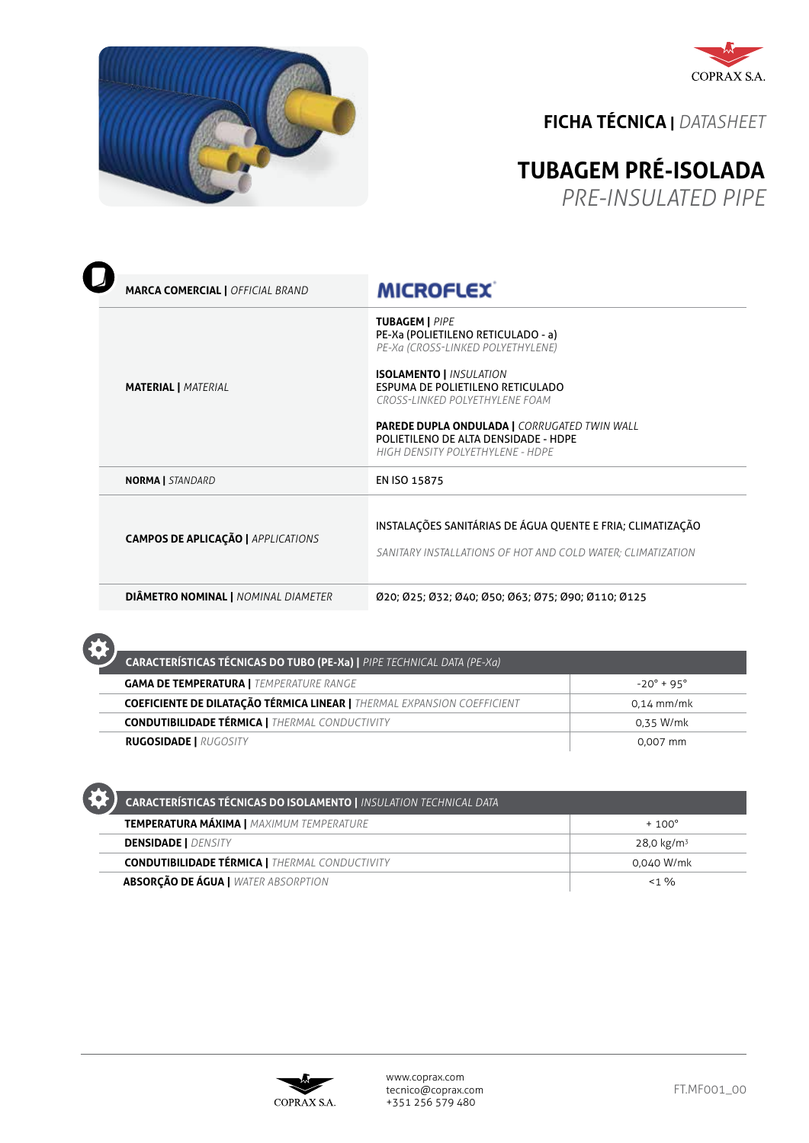



## **FICHA TÉCNICA |** *DATASHEET*

## **TUBAGEM PRÉ-ISOLADA**

*PRE-INSULATED PIPE*

| <b>MARCA COMERCIAL   OFFICIAL BRAND</b>    | <b>MICROFLEX</b>                                                                                                                                                                                                                                                                                                                            |  |  |
|--------------------------------------------|---------------------------------------------------------------------------------------------------------------------------------------------------------------------------------------------------------------------------------------------------------------------------------------------------------------------------------------------|--|--|
| <b>MATERIAL   MATERIAL</b>                 | <b>TUBAGEM   PIPE</b><br>PE-Xa (POLIETILENO RETICULADO - a)<br>PE-Xa (CROSS-LINKED POLYETHYLENE)<br><b>ISOLAMENTO   INSULATION</b><br>ESPUMA DE POLIETILENO RETICULADO<br>CROSS-LINKED POLYETHYLENE FOAM<br><b>PAREDE DUPLA ONDULADA   CORRUGATED TWIN WALL</b><br>POLIETILENO DE ALTA DENSIDADE - HDPE<br>HIGH DENSITY POLYETHYLENE - HDPE |  |  |
| <b>NORMA   STANDARD</b>                    | EN ISO 15875                                                                                                                                                                                                                                                                                                                                |  |  |
| <b>CAMPOS DE APLICAÇÃO   APPLICATIONS</b>  | INSTALAÇÕES SANITÁRIAS DE ÁGUA QUENTE E FRIA; CLIMATIZAÇÃO<br>SANITARY INSTALLATIONS OF HOT AND COLD WATER; CLIMATIZATION                                                                                                                                                                                                                   |  |  |
| <b>DIÂMETRO NOMINAL   NOMINAL DIAMETER</b> | Ø20; Ø25; Ø32; Ø40; Ø50; Ø63; Ø75; Ø90; Ø110; Ø125                                                                                                                                                                                                                                                                                          |  |  |

 **CARACTERÍSTICAS TÉCNICAS DO TUBO (PE-Xa) |** *PIPE TECHNICAL DATA (PE-Xa)* **GAMA DE TEMPERATURA |** *TEMPERATURE RANGE*  $\blacksquare$   $\blacksquare$   $\blacksquare$   $\blacksquare$   $\blacksquare$   $\blacksquare$   $\blacksquare$   $\blacksquare$   $\blacksquare$   $\blacksquare$   $\blacksquare$   $\blacksquare$   $\blacksquare$   $\blacksquare$   $\blacksquare$   $\blacksquare$   $\blacksquare$   $\blacksquare$   $\blacksquare$   $\blacksquare$   $\blacksquare$   $\blacksquare$   $\blacksquare$   $\blacksquare$   $\blacksquare$   $\bl$  **COEFICIENTE DE DILATAÇÃO TÉRMICA LINEAR |** *THERMAL EXPANSION COEFFICIENT* 0,14 mm/mk **CONDUTIBILIDADE TÉRMICA |** *THERMAL CONDUCTIVITY* 0,35 W/mk  **RUGOSIDADE |** *RUGOSITY* 0,007 mm

| <b>CARACTERÍSTICAS TÉCNICAS DO ISOLAMENTO   INSULATION TECHNICAL DATA</b> |                        |  |
|---------------------------------------------------------------------------|------------------------|--|
| <b>TEMPERATURA MÁXIMA   MAXIMUM TEMPERATURE</b>                           | $+100^{\circ}$         |  |
| <b>DENSIDADE   DENSITY</b>                                                | 28,0 kg/m <sup>3</sup> |  |
| <b>CONDUTIBILIDADE TÉRMICA   THERMAL CONDUCTIVITY</b>                     | 0.040 W/mk             |  |
| <b>ABSORÇÃO DE ÁGUA   WATER ABSORPTION</b>                                | $< 1$ %                |  |